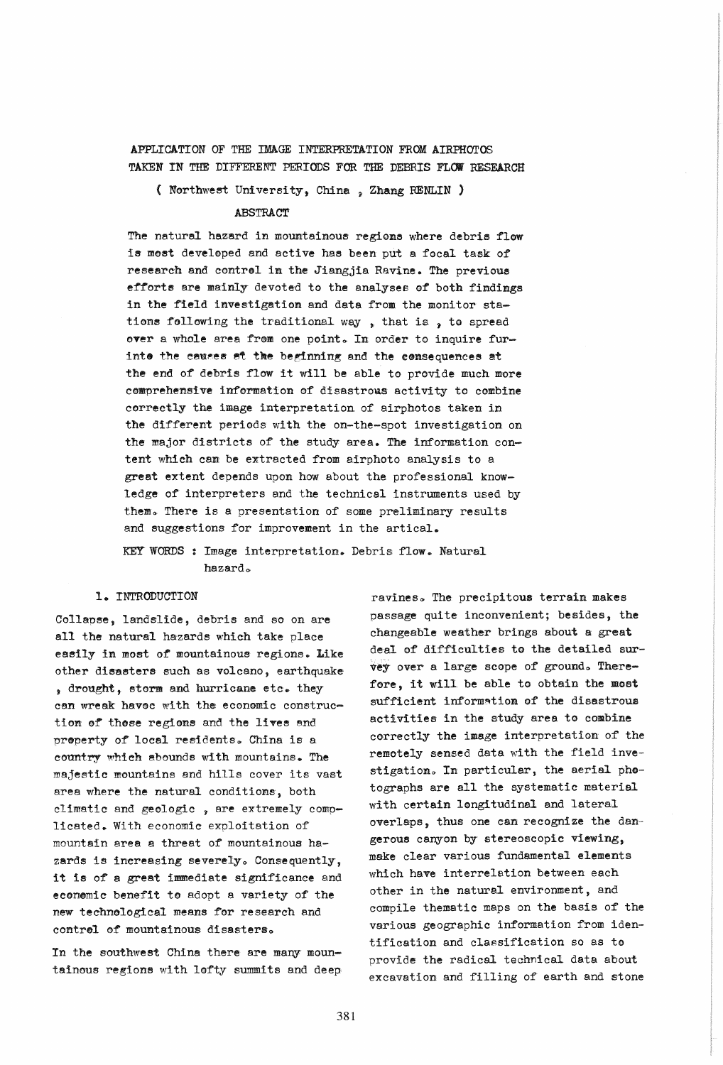## APPLICATION OF THE IMAGE INTERPRETATION FROM AIRPHOTOS TAKEN IN THE DIFFERENT PERIODS FOR THE DEBRIS FLOW RESEARCH

( Northwest University, China , Zhang RENLIN )

## **ABSTRACT**

The natural hazard in mountainous regions where debris flow is most developed and active has been put a focal task of research and control in the Jiangjia Ravine. The previous efforts are mainly devoted to the analyses of both findings in the field investigation and data from the monitor stations following the traditional way, that is, to spread over a whole area from one point. In order to inquire furinte the causes at the beginning and the consequences at the end of debris flow it will be able to provide much more comprehensive information of disastrous activity to combine correctly the image interpretation of airphotos taken in the different periods with the on-the-spot investigation on the major districts of the study area. The information content which can be extracted from airphoto analysis to a great extent depends upon how about the professional knowledge of interpreters and the technical instruments used by them. There is a presentation of some preliminary results and suggestions for improvement in the artical.

## KEY WORDS : Image interpretation. Debris flow. Natural hazard.

#### I. INTRODUCTION

Collapse, landslide, debris and so on are all the natural hazards which take place easily in most of mountainous regions. Like other disasters such as volcano, earthquake' . drought, storm and hurricane etc. they can wreak havoc with the economic construction of those regions and the lives and property of local residents. China is a country which abounds with mountains. The majestic mountains and hills cover its vast area where the natural conditions, both climatic and geologic , are extremely complicated. With economic exploitation of mountain area a threat of mountainous hazards is increasing severely. Consequently, it is of a great immediate significance and econemic benefit to adopt a variety of the new technological meens for research end contrel of mountainous disasters.

In the southwest China there are many mountainous regions with lofty summits and deep

ravines. The precipitous terrain makes passage quite inconvenient; besides, the changeable weather brings about a great deal of difficulties to the detailed survey over a large scope of ground. Therefore, it will. be able to obtain the most sufficient information of the disastrous activities in the study area to combine correctly the image interpretation of the remotely sensed data with the field investigation. In particular, the aerial photographs are all the systematic material with certain longitudinal and lateral overlaps, thus one can recognize the dangerous cenyon by stereoscopic viewing, make clear various fundamental elements which have interrelation between each other in the naturel environment, and compile thematic maps on the basis of' the various geographic information from identification and classification so as to provide the radical technical data about excavation and filling of earth and stone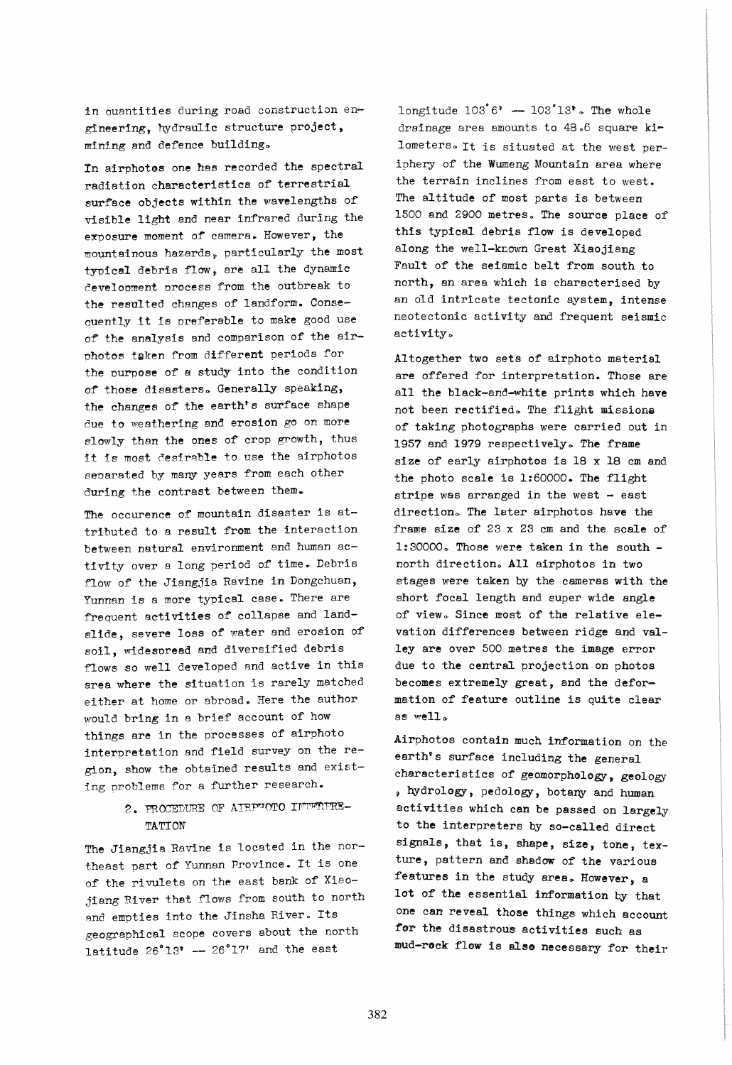in ouantities during road construction engineering, hydraulic structure project, mining and defence building.

In airphotes one has recorded the spectral radiation characteristics of terrestrial surface objects within the wavelengths of visible light and near infrared during the exposure moment of' camera. However, the mountainous hazards~ particularly the most typical debris flow, are all the dynamic development process from the outbreak to the resulted changes of landform. Consequently it is preferable to make good use of the analysis and comparison of the airphotos taken from different periods for the' purpose of a study into the condition of those disasters. Generally speaking, the changes of the earth's surface shape due to weathering and erosion go on more slowly than the ones of crop growth, thus it is most desirable to use the airphotos senarated by many years from each other during the contrast between them.

The occurence of mountain disaster is attributed to a result from the interaction between natural environment and human activity over a long period of time. Debris flow of the Jiangjia Ravine in Dongchuan, Yunnan is a more typical case. There are frequent activities of collapse and landslide, severe loss of water and erosion of soil, widespread and diversified debris flows so well developed and active in this area where the situation is rarely matched either at home or abroad. Here the author would bring in a brief account of how things are in the processes of airphoto interpretation and field survey on the region, show the obtained results and existing problems for a further research.

# 2. PROCEDURE OF AIRP"OTO INTERPRE-TATION

The Jiangjia Ravine is located in the northeast part of' Yunnan Province. It is one of' the rivulets on the east bank of Xiaojiang River that flows from south to north and empties into the Jinsha River. Its geographical scope covers about the north latitude  $26^{\circ}13^{\circ}$  --  $26^{\circ}17^{\circ}$  and the east

longitude  $103^{\circ}6^{\circ}$  -  $103^{\circ}13^{\circ}$ . The whole drainage area amounts to 48.6 square kilometers. It is situated at the west periphery of' the Wumeng Mountain area where the terrain inclines from east to west. The altitude of most parts is between 1500 and 2900 metres. The source place of this typical debris flow is developed along the well-known Great Xiaojiang Fault of the seismic belt from south to north, an area which is characterised by an old intricate tectonic system, intense neotectonic activity and frequent seismic activity.

Altogether two sets of airphoto material are offered for interpretation. Those are all the black-and-white prints which have not been rectified. The flight missions of taking photographs were carried out in 1957 and 1979 respectively. The frame size of early airphotos is 18 x 18 cm and the photo scale is 1:60000. The flight stripe was arranged in the west  $-$  east direction. The later airphotos have the frame size of 23 x 23 cm and the scale of  $1:30000$ . Those were taken in the south north direction. All airphotos in two stages were taken by the cameras with the short focal length and super wide angle of view. Since most of the relative elevation differences between ridge and valley are over 500 metres the image error due to the central projection on photos becomes extremely great, and the deformation of feature outline is quite clear as well.

Airphotos contain much information on the earth's surface including the general characteristics of geomorphology, geology \) hydrology, pedology, botany and human activities which can be passed on largely to the interpreters by so-called direct signals, that is, shape, size, tone, texture, pattern and shadow of the various features in the study area. However, a lot of the essential information by that one can reveal those things which account for the disastrous activities such as mud-rock flow is also necessary for their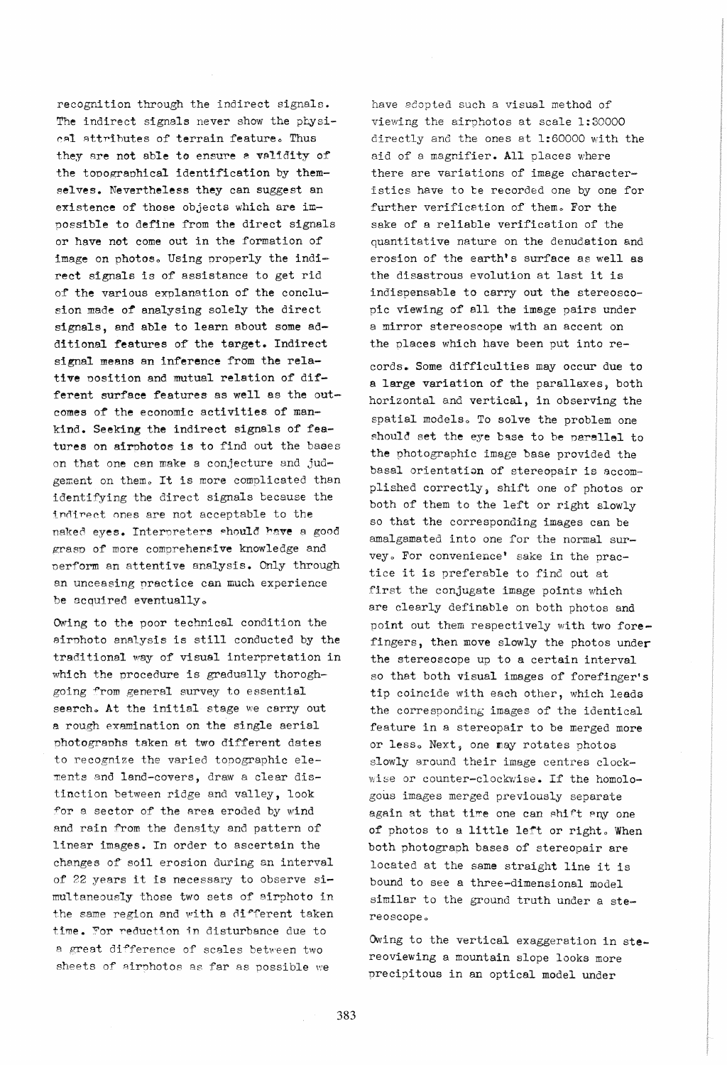recognition through the indirect signals. The indirect signals never show the physical attributes of terrain feature. Thus they are not able to ensure a validity of the topographical identification by themselves. Nevertheless they can suggest an existence of those objects which are impossible to define from the direct signals or have not come out in the formation of image on photos. Using properly the indirect signals is of assistance to get rid *or* the various exnlanation of the conclusion made of analysing solely the direct signals, and able to learn about some additional features of the target. Indirect signal means an inference from the relative nosition and mutual relation of different surface features as well as the outcomes of the economic activities of mankind. Seeking the indirect signals of features on airphotos is to find out the bases on that one can make a conjecture and judgement on them. It is more complicated than identifying the direct signals because the indirect ones are not acceptable to the naked eyes. Interpreters should have a good grasp of more comprehensive knowledge and nerform an attentive analysis. Only through an unceasing practice can much experience be acquired eventually.

Owing to the poor technical condition the airphoto analysis is still conducted by the traditional way of visual interpretation in which the procedure is gradually thoroghgoing from general survey to essential search. At the initial stage we carry out a rough examination on the single aerial photographs taken at two different dates to recognize the varied topographic ele ments and land-covers, draw a clear distinction between ridge and valley, look for a sector of the area eroded by wind and rain from the density and pattern of linear images. In order to ascertain the changes of soil erosion during an interval of 22 years it is necessary to observe simultaneously those two sets of airphoto in the same region and with a different taken time. For reduction in disturbance due to a great difference of scales between two sheets of airphotos as far as possible we

have adopted such a visual method of viewing the airphotos at scale 1:30000 directly and the ones at 1:60000 with the aid of a magnifier. All places where there are variations of image characteristics have to be recorded one by one for further verification of them. For the sake of a reliable verification of the quantitative nature on the denudation and erosion of the earth's surface as well as the disastrous evolution at last it is indispensable to carry out the stereoscopic viewing of all the image pairs under a mirror stereoscope with an accent on the places which have been put into re-

cords. Some difficulties may occur due to a large variation of the parallaxes, both horizontal and vertical, in observing the spatial models. To solve the problem one should set the eye base to be parallel to the photographic image base provided the basal orientation of stereopair is accomplished correctly, shift one of photos or both of them to the left or right slowly so that the corresponding images can be amalgamated into one for the normal survey. For convenience' sake in the practice it is preferable to find out at first the conjugate image points which are clearly definable on both photos and point out them respectively with two fore fingers, then move slowly the photos under the stereoscope up to a certain interval so that both visual images of forefinger's tip coincide with each other, which leads the corresponding images of the identical feature in a stereopair to be merged more or less. Next, one may rotates photos slowly around their image centres clock wise or counter-clockwise. If the homologous images merged previously separate again at that time one can shift any one of photos to a little left or right. When both photograph bases of stereopair are located at the same straight line it is bound to see a three-dimensional model similar to the ground truth under a stereoscope.

Owing to the vertical exaggeration in stereoviewing a mountain slope looks more precipitous in an optical model under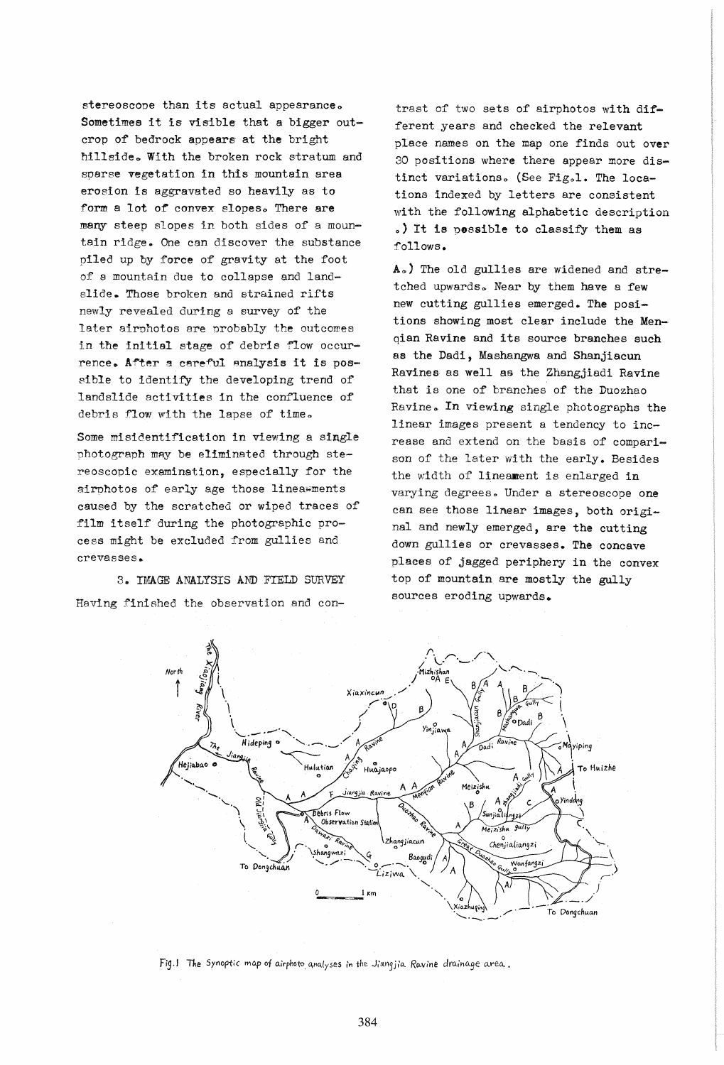stereoscope than its actual appearance. Sometimes it is visible that a bigger outcrop of bedrock appears at the bright hillside. With the broken rock stratum and sparse vegetation in this mountain area erosion is aggravated so heavily as to form a lot of convex slopes. There are many steep slopes in both sides of a mountain ridge. One can discover the substance piled up by force of gravity at the foot of a mountain due to collapse and landslide. Those broken and strained rifts newly revealed during a survey of the later airphotos are probably the outcomes in the initial stage of debris flow occurrence. After a careful analysis it is possible to identify the developing trend of landslide activities in the confluence of debris flow with the lapse of time.

Some misidentification in viewing a single nhotograph may be eliminated through stereosconic examination, especially for the airphotos of early age those linea; ments caused by the scratched or wiped traces of film itself during the photographic process might be excluded from gullies and crevasses ..

3. IMAGE ANALYSIS AND FIELD SURVEY Having finished the observation and con-

trast of two sets of airphotos with different years and checked the relevant place names on the map one finds out over 30 positions where there appear more distinct variations. (See Fig.1. The locations indexed by letters are consistent with the following alphabetic description .,) It is possible to classify them as follows.

Ao) The old gullies are widened and stretched upwards. Near by them have a few new cutting gullies emerged. The positions showing most clear include the Menqian Ravine and its source branches such as the Dadi, Mashangwa and Shanjiacun Ravines as well as the Zhangjiadi Ravine that is one of branches of the Duozhao Ravine. In viewing single photographs the linear images present a tendency to increase and extend on the basis of comparison of the later with the early. Besides the width of' lineament is enlarged in varying degrees. Under a stereoscope one can see those linear images, both original and newly emerged, are the cutting down gullies or crevasses. The concave places of jagged periphery in the convex top of mountain are mostly the gully sources eroding upwards.



Fig.1 The Synoptic map of airphoto analyses in the Jiangjia Ravine drainage area.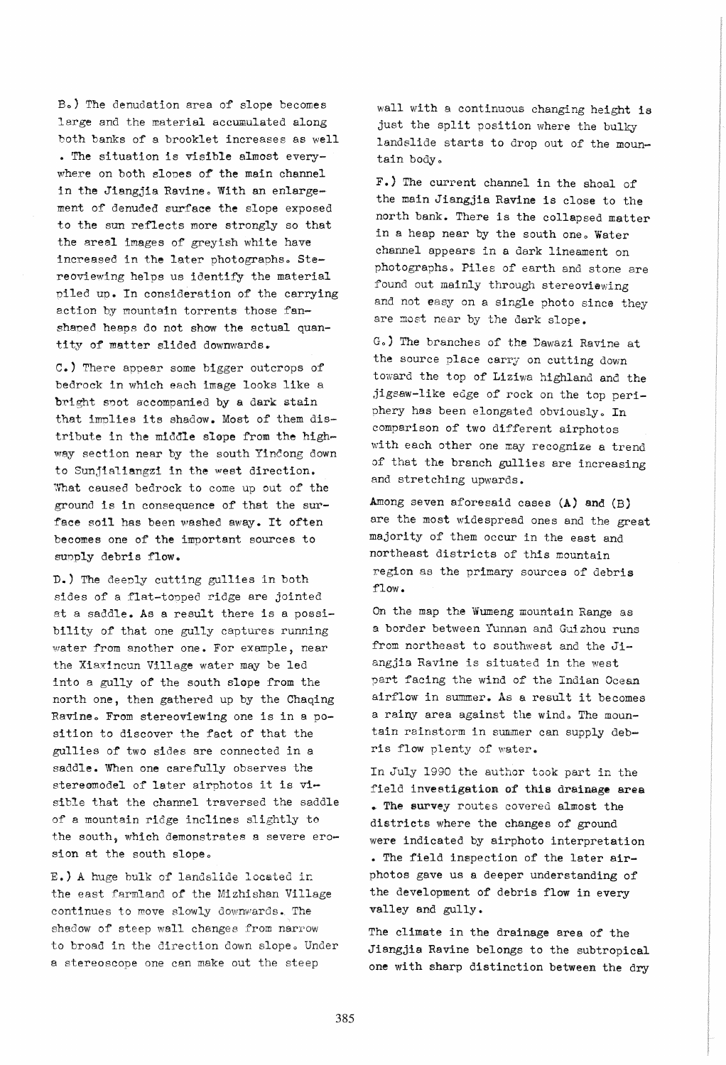Bo) The denudation area of slope becomes large and the material accumulated along both banks of a brooklet increases as well • The situation is visible almost everywhere on both slopes of the main channel in the Jiangjia Ravine. With an enlargement of denuded surface the slope exposed to the sun reflects more strongly so that the areel images of greyish white have increased in the later photographs. Stereoviewing helps us identify the material piled up. In consideration of the carrying action by mountain torrents those fanshaped heaps do not show the actual quantity of matter slided downwards.

C., There appear some bigger outcrops of bedrock in which each image looks like a bright spot accompanied by a dark stain that implies its shadow. Most of them distribute in the middle slope from the highway section near by the south Yincong down to Sunjialiangzi in the west direction. What caused bedrock to come up out of the ground is in consequence of that the surface soil has been washed away. It often becomes one of the important sources to supply debris flow.

D.) The deeply cutting gullies in both sides of a flat-topped ridge are jointed at a saddle. As a result there is a possibility of that one gully captures running water from another one. For example, near the Xiaxincun Village water may be led into a gully of the south slope from the north one, then gathered up by the Chaqing Ravine. From stereoviewing one is in a position to discover the fact of that the gullies of two sides are connected in a saddle. When one carefully observes the stereomodel of later airphotos it is visible that the channel traversed the saddle of a mountain ridge inclines slightly to the south, which demonstrates a severe erosion at the south slope.

E.) A huge bulk of landslide located in the east farmland of the Mizhishan Village continues to move slowly downwards. The shadow of steep wall changes from narrow to broad in the direction down slope. Under a stereoscope one can make out the steep

wall with a continuous changing height is just the split position where the bulky landslide starts to drop out of the mountain body.

F.) The current channel in the shoal of the main Jiangjia Ravine is close to the north bank. There is the collapsed matter in a heap near by the south one. Water channel appears in a dark lineament on photographs. Piles of earth and stone are found out mainly through stereoviewing and not easy on a single photo since they are most near by the dark slope.

Go) The branches of the Dawazi Ravine at the source place carry on cutting down toward the top of Liziwa highland and the ,jigsaw-like edge of rock on the top periphery has been elongated obviously. In comparison of two different airphotos with each other one may recognize a trend of that the branch gullies are increasing and stretching upwards.

Among seven aforesaid cases (A) and (B) are the most widespread ones and the great majority of them occur in the east and northeast districts of this mountain region as the primary sources of debris flow.

On the map the Wumeng mountain Range as a border between Yunnan and Guizhou runs from northeast to southwest and the Jiangjia Ravine is situated in the west part facing the wind of the Indian Ocean airflow in summer. As a result it becomes a rainy area against the wind. The mountain rainstorm in summer can supply debris flow plenty of water.

In July 1990 the author took part in the field investigation of this drainage area • The survey routes covered almost the districts where the changes of ground were indicated by airphoto interpretation • The field inspection of the later airphotos gave us a deeper understanding of the development of debris flow in every valley and gully.

The climate in the drainage area of the Jiangjia Ravine belongs to the subtropical one with sharp distinction between the dry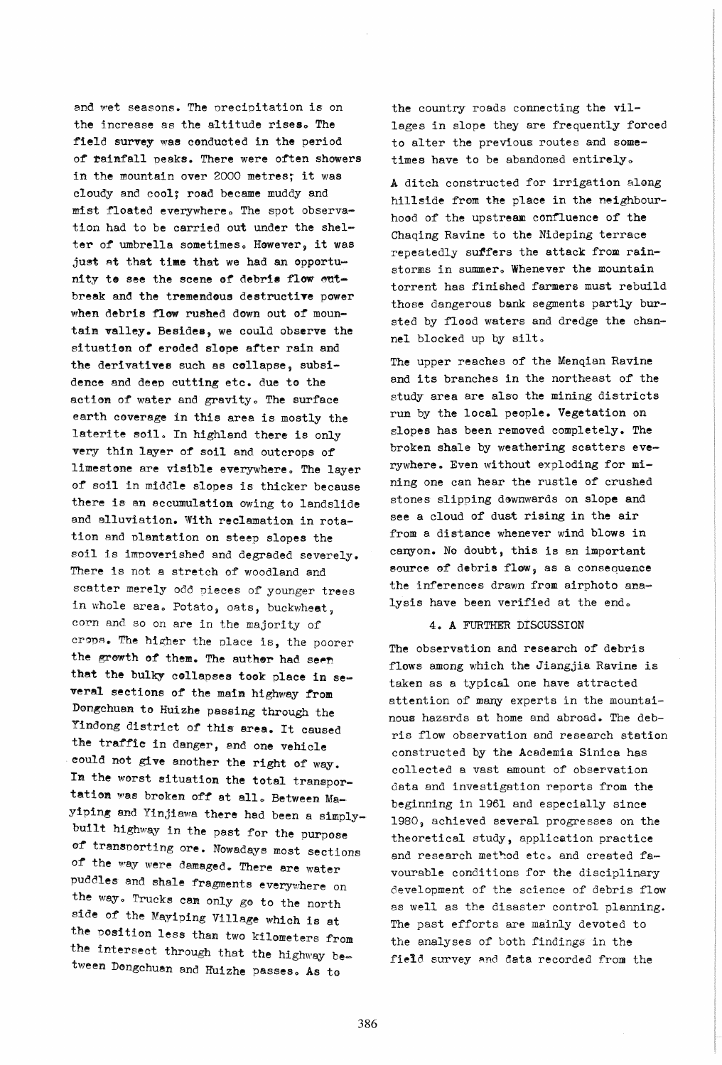and wet seasons. The precipitation is on the increase as the altitude rises. The field survey was conducted in the period of rainfall peaks. There were often showers in the mountain over 2000 metres; it was cloudy and cool; road became muddy and mist floated everywhere. The spot observation had to be carried out under the shelter of umbrella sometimes. However, it was just at that time that we had an opportunity to see the scene of debris flow outbreak and the tremendous destructive power when debris flow rushed down out of mountain valley. Besides, we could observe the situation of eroded slope after rain and the derivatives such as collapse, subsidence and deep cutting etc. due to the action of water and gravity. The surface earth coverage in this area is mostly the laterite soil. In highland there is only very thin layer of soil and outcrops of' limestone are visible everywhere. The layer of soil in middle slopes is thicker because there is an accumulation owing to landslide and alluviation. With reclamation in rotation and plantation on steep slopes the soil is impoverished and degraded severely. There is not a stretch of woodland and scatter merely odd pieces of younger trees in whole area. Potato, oats, buckwheat, corn and so on are in the majority of crops. The higher the place is, the poorer the growth of them. The author had seen that the bulky collapses took place in several sections of the main highway from Dongchuan to Huizhe passing through the Yindong district of this area. It caused the traffic in danger, and one vehicle could not give another the right of way. Im the worst aituatiom the total transportation was broken off at all. Between Mayiping and Yinjiawa there had been a simplybuilt highway in the past for the purpose of transporting ore. Nowadays most sections of the way were damaged. There are water puddles and shale fragments everywhere on the way. Trucks can only go to the north side of the Mayiping Village which is at the position less than two kilometers from the intersect through that the highway between Dongchuan and Huizhe passes. As to

the country roads connecting the villages in slope they are frequently forced to alter the previous routes and sometimes have to be abandoned entirely.

A ditch constructed for irrigation along hillside from the place in the neighbourhood of the upstream confluence of the Chaqing Ravine to the Nideping terrace repeatedly suffers the attack from rainstorms in summer. Whenever the mountain torrent has finished farmers must rebuild those dangerous bank segments partLy bursted by flood waters and dredge the channel blocked up by silt.

The upper reaches of the Menqian Ravine and its branches in the northeast of the study area are also the mining districts run by the local people. Vegetation on slopes has been removed completely. The broken shale by weathering scatters everywhere. Even without exploding for mining one can hear the rustle of crushed stones slipping dewnwards on slope and see a cloud of dust rising in the air from a distance whenever wind blows in canyon. No doubt, this is an important source of debris flow, as a consequence the inferences drawn from airphoto analysis have been verified at the end.

4. A FURTHER DISCUSSION

The observation and research of debris flows among which the Jiangjia Ravine is. taken as a typical one have attracted attention of many experts in the mountainous hazards at home and abroad. The debris flow observation and research station constructed by the Academia Sinica has collected a vast amount of observation data and investigation reports from the beginning in 1961 and especially since 1980, achieved several progresses on the theoretical study, application practice and research method etc. and created favourable conditions for the disciplinary development of the science of debris flow as well as the disaster control planning. The past efforts are mainly devoted to the analyses of both findings in the field survey and data recorded from the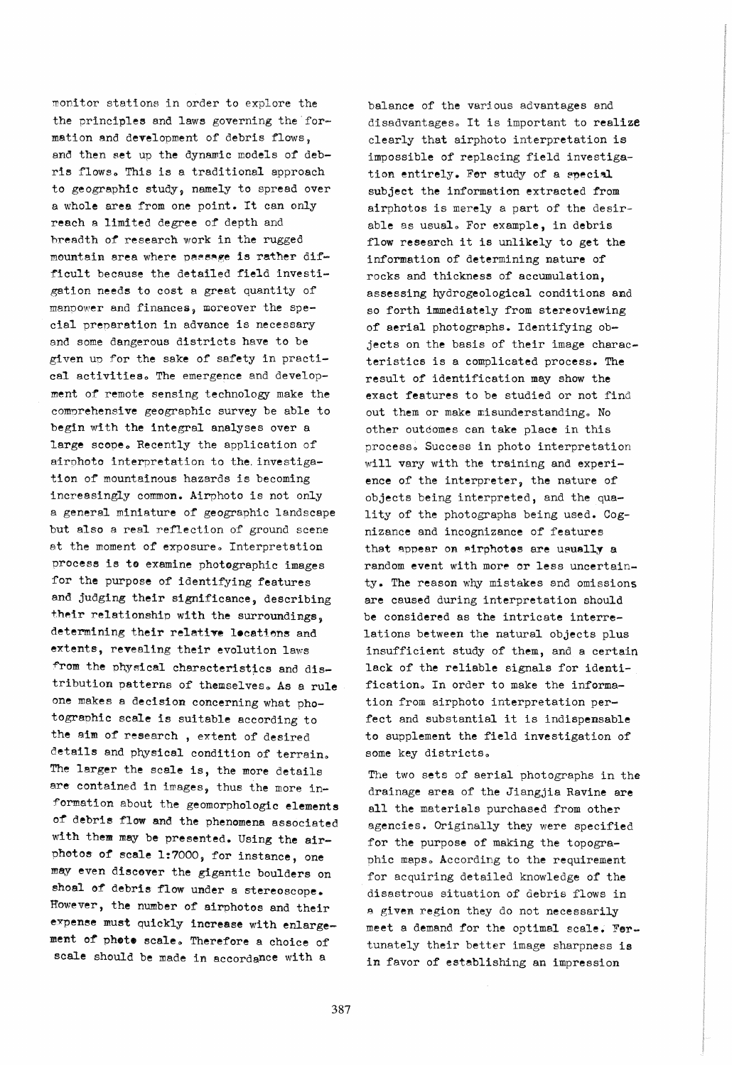monitor stations in order to explore the the principles and laws governing the formation and development of debris flows, and then set up the dynamic models of debris flows. This is a traditional approach to geographic study, namely to spread over a whole area from one point. It can only reach a limited degree of depth and hreadth of research work in the rugged mountain area where passage is rather difficult because the detailed field investigation needs to cost a great quantity of manpower and finances, moreover the special prenaration in advance is necessary and some dangerous districts have to be given up for the sake of safety in practical activities. The emergence and development of remote sensing technology make the comnrehensive geographic survey be able to begin with the integral analyses over a large scope. Recently the application of airnhoto interpretation to the. investigation of mountainous hazards is becoming increasingly common. Airphoto is not only a general miniature of geographic landscape but also a real reflection of ground scene at the moment of exposure. Interpretation process is to examine photographic images for the purpose of identifying features and judging their significance, describing their relationship with the surroundings, determining their relative locations and extents, revealing their evolution laws from the physical characteristics and distribution patterns of themselves. As a rule one makes a decision concerning what photogranhic scale is suitable according to the aim of research , extent of desired details and physical condition of terrain. The larger the scale is, the more details are contained in images, thus the more information about the geomorphologic elements of debris flow and the phenomena associated with them may be presented. Using the airphotos of scale 1:7000, for instance, one may even discover the gigantic boulders on shoal of debris flow under a stereoscope. However, the number of airphotos and their expense must quickly increase with enlargement of phete scale. Therefore a choice of scale should be made in accordance with a

balance of the various advantages and disadvantages. It is important to realize clearly that airphoto interpretation is impossible of replacing field investigation entirely. For study of a special subject the information extracted from airphotos is merely a part of the desirable as usual. For example, in debris flow research it is unlikely to get the information of determining nature of rocks and thickness of accumulation, assessing hydrogeological conditions and so forth immediately from stereoviewing of aerial photographs. Identifying objects on the basis of their image characteristics is a complicated process. The result of identification may show the exact features to be studied or not find out them or make misunderstanding. No other outcomes can take place in this process. Success in photo interpretation will vary with the training and experience of the interpreter, the nature of objects being interpreted, and the quality of the photographs being used. Cognizance and incognizance of features that appear on airphotes are usually a random event with more or less uncertainty. The reason why mistakes and omissions are caused during interpretation should be considered as the intricate interrelations between the natural objects plus insufficient study of them, and a certain lack of the reliable signals for identification. In order to make the information from airphoto interpretation perfect and substantial it is indispensable to supplement the field investigation of some key districts.

The two sets of aerial photographs in the drainage area of the Jiangjia Ravine are all the materials purchased from other agencies. Originally they were specified for the purpose of making the topographic maps. According to the requirement for acquiring detailed knowledge of the disastrous situation of debris flows in a given region they do not necessarily meet a demand for the optimal scale. Fertunately their better image sharpness is in favor of establishing an impression